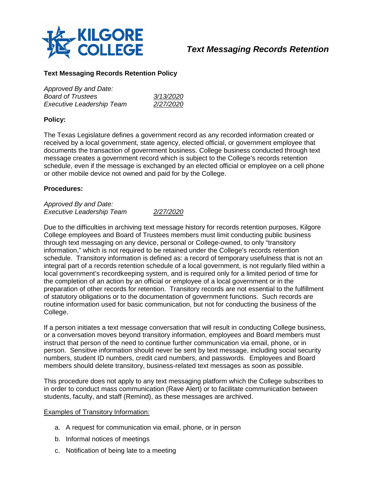

*Approved By and Date:*

# *Text Messaging Records Retention*

### **Text Messaging Records Retention Policy**

| Approved By and Date:            |           |
|----------------------------------|-----------|
| Board of Trustees                | 3/13/2020 |
| <b>Executive Leadership Team</b> | 2/27/2020 |

#### **Policy:**

The Texas Legislature defines a government record as any recorded information created or received by a local government, state agency, elected official, or government employee that documents the transaction of government business. College business conducted through text message creates a government record which is subject to the College's records retention schedule, even if the message is exchanged by an elected official or employee on a cell phone or other mobile device not owned and paid for by the College.

#### **Procedures:**

*Approved By and Date: Executive Leadership Team 2/27/2020*

Due to the difficulties in archiving text message history for records retention purposes, Kilgore College employees and Board of Trustees members must limit conducting public business through text messaging on any device, personal or College-owned, to only "transitory information," which is not required to be retained under the College's records retention schedule. Transitory information is defined as: a record of temporary usefulness that is not an integral part of a records retention schedule of a local government, is not regularly filed within a local government's recordkeeping system, and is required only for a limited period of time for the completion of an action by an official or employee of a local government or in the preparation of other records for retention. Transitory records are not essential to the fulfillment of statutory obligations or to the documentation of government functions. Such records are routine information used for basic communication, but not for conducting the business of the College.

If a person initiates a text message conversation that will result in conducting College business, or a conversation moves beyond transitory information, employees and Board members must instruct that person of the need to continue further communication via email, phone, or in person. Sensitive information should never be sent by text message, including social security numbers, student ID numbers, credit card numbers, and passwords. Employees and Board members should delete transitory, business-related text messages as soon as possible.

This procedure does not apply to any text messaging platform which the College subscribes to in order to conduct mass communication (Rave Alert) or to facilitate communication between students, faculty, and staff (Remind), as these messages are archived.

#### Examples of Transitory Information:

- a. A request for communication via email, phone, or in person
- b. Informal notices of meetings
- c. Notification of being late to a meeting